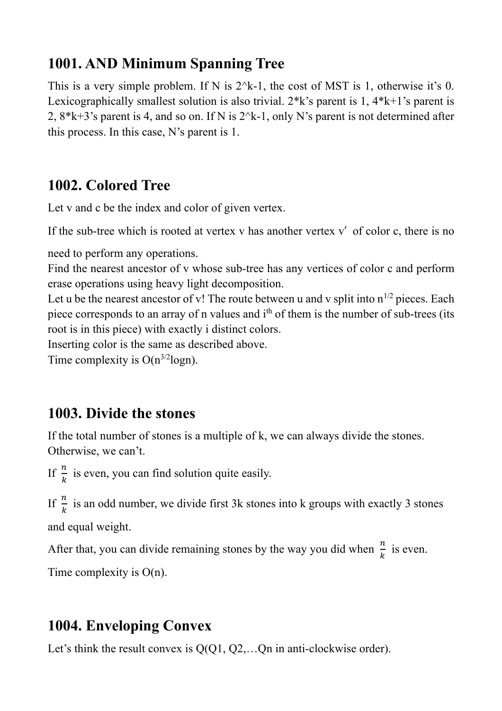## **1001. AND Minimum Spanning Tree**

This is a very simple problem. If N is  $2^k-1$ , the cost of MST is 1, otherwise it's 0. Lexicographically smallest solution is also trivial.  $2*k$ 's parent is 1,  $4*k+1$ 's parent is 2,  $8*k+3$ 's parent is 4, and so on. If N is  $2^k-1$ , only N's parent is not determined after this process. In this case, N's parent is 1.

### **1002. Colored Tree**

Let v and c be the index and color of given vertex.

If the sub-tree which is rooted at vertex v has another vertex  $v'$  of color c, there is no

need to perform any operations.

Find the nearest ancestor of v whose sub-tree has any vertices of color c and perform erase operations using heavy light decomposition.

Let u be the nearest ancestor of v! The route between u and v split into  $n^{1/2}$  pieces. Each piece corresponds to an array of n values and i<sup>th</sup> of them is the number of sub-trees (its root is in this piece) with exactly i distinct colors.

Inserting color is the same as described above.

Time complexity is  $O(n^{3/2} \log n)$ .

## **1003. Divide the stones**

If the total number of stones is a multiple of k, we can always divide the stones. Otherwise, we can't.

If  $\frac{n}{k}$  is even, you can find solution quite easily.

If  $\frac{n}{k}$  is an odd number, we divide first 3k stones into k groups with exactly 3 stones and equal weight.

After that, you can divide remaining stones by the way you did when  $\frac{n}{k}$  is even.

Time complexity is O(n).

## **1004. Enveloping Convex**

Let's think the result convex is  $Q(Q1, Q2,...Qn)$  in anti-clockwise order).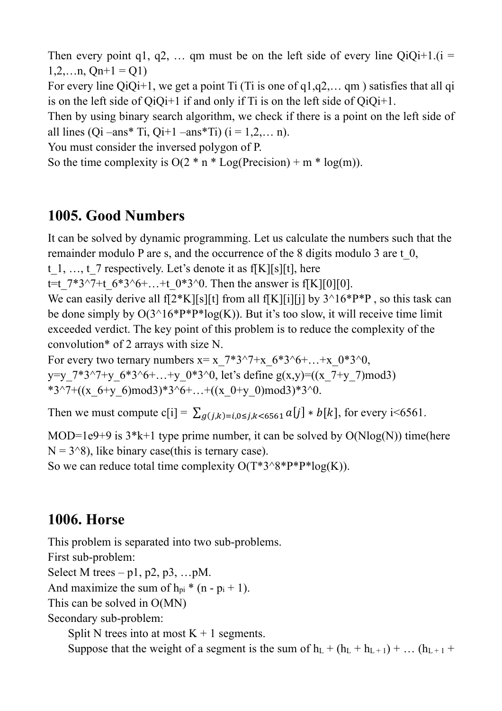Then every point q1, q2, ... qm must be on the left side of every line  $QiQi+1.(i =$  $1,2,...n$ ,  $On+1 = O(1)$ 

For every line QiQi+1, we get a point Ti (Ti is one of  $q1,q2,... qm$ ) satisfies that all  $qi$ is on the left side of  $QiQi+1$  if and only if Ti is on the left side of  $QiQi+1$ .

Then by using binary search algorithm, we check if there is a point on the left side of all lines (Qi –ans\* Ti, Qi+1 –ans\* Ti)  $(i = 1, 2, ... n)$ .

You must consider the inversed polygon of P.

So the time complexity is  $O(2 * n * Log(Precision) + m * log(m))$ .

### **1005. Good Numbers**

It can be solved by dynamic programming. Let us calculate the numbers such that the remainder modulo P are s, and the occurrence of the 8 digits modulo 3 are t\_0,

t 1, …, t 7 respectively. Let's denote it as f[K][s][t], here

t=t  $7*3^{\sim}7$ +t  $6*3^{\sim}6+...+t$   $0*3^{\sim}0$ . Then the answer is f[K][0][0].

We can easily derive all  $f[2*K][s][t]$  from all  $f[K][i][i]$  by  $3^{\wedge}16*P*P$ , so this task can be done simply by  $O(3^{4}16*P*P*log(K))$ . But it's too slow, it will receive time limit exceeded verdict. The key point of this problem is to reduce the complexity of the convolution\* of 2 arrays with size N.

For every two ternary numbers  $x=x_7*3^2+x_6*3^6+\ldots+x_0*3^0$ , y=y\_7\*3^7+y\_6\*3^6+…+y\_0\*3^0, let's define g(x,y)=((x\_7+y\_7)mod3) \*3^7+((x\_6+y\_6)mod3)\*3^6+…+((x\_0+y\_0)mod3)\*3^0.

Then we must compute c[i] =  $\sum_{g(j,k)=i, 0\leq j,k\leq 6561} a[j] * b[k]$ , for every i<6561.

MOD=1e9+9 is  $3*k+1$  type prime number, it can be solved by  $O(N\log(N))$  time(here  $N = 3^8$ ), like binary case(this is ternary case).

So we can reduce total time complexity  $O(T^*3^8P^*P^*log(K))$ .

#### **1006. Horse**

This problem is separated into two sub-problems. First sub-problem: Select M trees – p1, p2, p3, ...pM. And maximize the sum of  $h_{pi}$ <sup>\*</sup> (n -  $p_i$  + 1). This can be solved in O(MN) Secondary sub-problem: Split N trees into at most  $K + 1$  segments. Suppose that the weight of a segment is the sum of  $h_L + (h_L + h_{L+1}) + ... (h_{L+1} + h_{L+1})$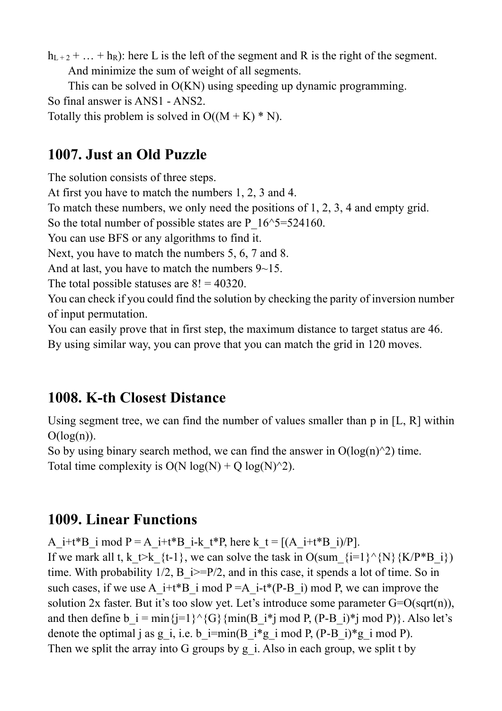$h_{L+2} + ... + h_R$ : here L is the left of the segment and R is the right of the segment. And minimize the sum of weight of all segments.

This can be solved in O(KN) using speeding up dynamic programming.

So final answer is ANS1 - ANS2.

Totally this problem is solved in  $O((M + K) * N)$ .

## **1007. Just an Old Puzzle**

The solution consists of three steps.

At first you have to match the numbers 1, 2, 3 and 4.

To match these numbers, we only need the positions of 1, 2, 3, 4 and empty grid.

So the total number of possible states are P  $16^{\circ}5=524160$ .

You can use BFS or any algorithms to find it.

Next, you have to match the numbers 5, 6, 7 and 8.

And at last, you have to match the numbers  $9\neg 15$ .

The total possible statuses are  $8! = 40320$ .

You can check if you could find the solution by checking the parity of inversion number of input permutation.

You can easily prove that in first step, the maximum distance to target status are 46. By using similar way, you can prove that you can match the grid in 120 moves.

# **1008. K-th Closest Distance**

Using segment tree, we can find the number of values smaller than p in [L, R] within  $O(log(n)).$ 

So by using binary search method, we can find the answer in  $O(log(n)^2)$  time.

Total time complexity is  $O(N \log(N) + O \log(N)^{2})$ .

# **1009. Linear Functions**

A\_i+t\*B\_i mod P = A\_i+t\*B\_i-k\_t\*P, here k\_t =  $[(A_1 + t*B_1)/P]$ .

If we mark all t, k  $\forall$ k {t-1}, we can solve the task in O(sum {i=1}^{N}{K/P\*B\_i}) time. With probability  $1/2$ ,  $B$   $i>=P/2$ , and in this case, it spends a lot of time. So in such cases, if we use A\_i+t\*B\_i mod P = A\_i-t\*(P-B\_i) mod P, we can improve the solution 2x faster. But it's too slow yet. Let's introduce some parameter  $G=O(\sqrt{sqrt(n)})$ , and then define b  $i = min\{j=1\}^{\wedge}\{G\}\{min(B_i^*j \mod P, (P-B_i)^*j \mod P)\}\.$  Also let's denote the optimal j as g\_i, i.e. b\_i=min(B\_i\*g\_i mod P, (P-B\_i)\*g\_i mod P). Then we split the array into G groups by g\_i. Also in each group, we split t by